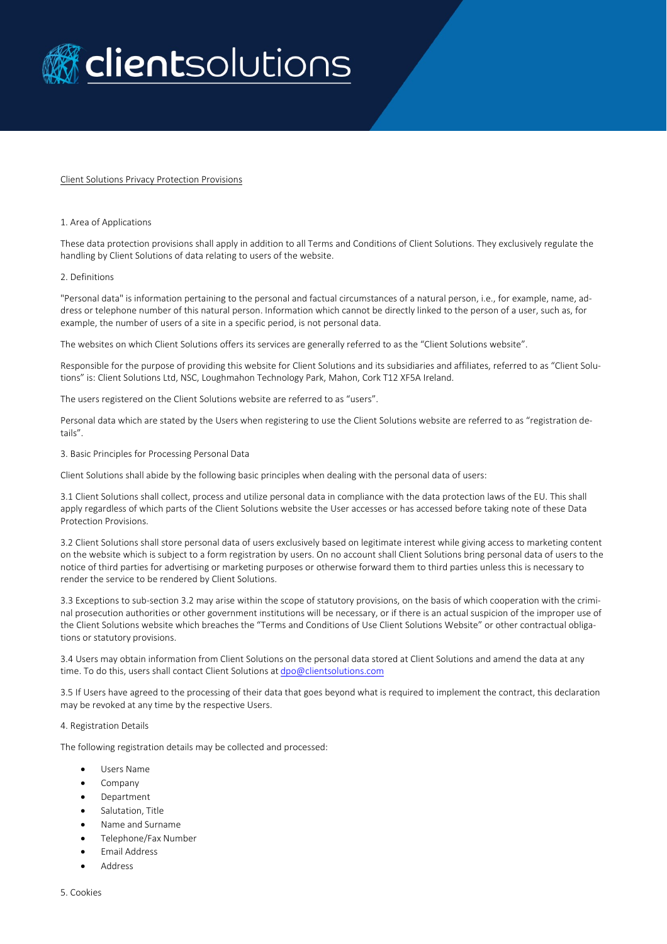

### Client Solutions Privacy Protection Provisions

### 1. Area of Applications

These data protection provisions shall apply in addition to all Terms and Conditions of Client Solutions. They exclusively regulate the handling by Client Solutions of data relating to users of the website.

### 2. Definitions

"Personal data" is information pertaining to the personal and factual circumstances of a natural person, i.e., for example, name, address or telephone number of this natural person. Information which cannot be directly linked to the person of a user, such as, for example, the number of users of a site in a specific period, is not personal data.

The websites on which Client Solutions offers its services are generally referred to as the "Client Solutions website".

Responsible for the purpose of providing this website for Client Solutions and its subsidiaries and affiliates, referred to as "Client Solutions" is: Client Solutions Ltd, NSC, Loughmahon Technology Park, Mahon, Cork T12 XF5A Ireland.

The users registered on the Client Solutions website are referred to as "users".

Personal data which are stated by the Users when registering to use the Client Solutions website are referred to as "registration details".

3. Basic Principles for Processing Personal Data

Client Solutions shall abide by the following basic principles when dealing with the personal data of users:

3.1 Client Solutions shall collect, process and utilize personal data in compliance with the data protection laws of the EU. This shall apply regardless of which parts of the Client Solutions website the User accesses or has accessed before taking note of these Data Protection Provisions.

3.2 Client Solutions shall store personal data of users exclusively based on legitimate interest while giving access to marketing content on the website which is subject to a form registration by users. On no account shall Client Solutions bring personal data of users to the notice of third parties for advertising or marketing purposes or otherwise forward them to third parties unless this is necessary to render the service to be rendered by Client Solutions.

3.3 Exceptions to sub-section 3.2 may arise within the scope of statutory provisions, on the basis of which cooperation with the criminal prosecution authorities or other government institutions will be necessary, or if there is an actual suspicion of the improper use of the Client Solutions website which breaches the "Terms and Conditions of Use Client Solutions Website" or other contractual obligations or statutory provisions.

3.4 Users may obtain information from Client Solutions on the personal data stored at Client Solutions and amend the data at any time. To do this, users shall contact Client Solutions at [dpo@clientsolutions.com](mailto:dpo@clientsolutions.com)

3.5 If Users have agreed to the processing of their data that goes beyond what is required to implement the contract, this declaration may be revoked at any time by the respective Users.

### 4. Registration Details

The following registration details may be collected and processed:

- Users Name
- Company
- Department
- Salutation, Title
- Name and Surname
- Telephone/Fax Number
- Email Address
- Address